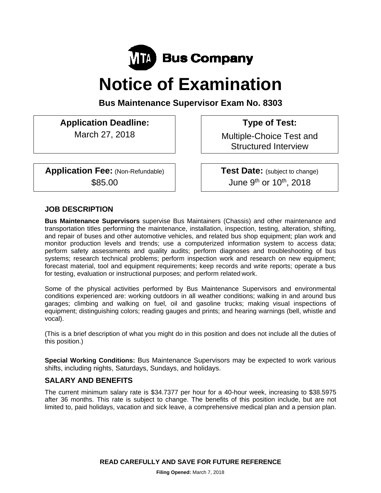

# **Notice of Examination**

**Bus Maintenance Supervisor Exam No. 8303** 

Application Deadline:  $\vert$  | Type of Test:

**Application Fee:** (Non-Refundable) **Test Date:** (subject to change)

March 27, 2018 **Multiple-Choice Test and** Structured Interview

 $$85.00$  | June 9<sup>th</sup> or 10<sup>th</sup>, 2018

## **JOB DESCRIPTION**

**Bus Maintenance Supervisors** supervise Bus Maintainers (Chassis) and other maintenance and transportation titles performing the maintenance, installation, inspection, testing, alteration, shifting, and repair of buses and other automotive vehicles, and related bus shop equipment; plan work and monitor production levels and trends; use a computerized information system to access data; perform safety assessments and quality audits; perform diagnoses and troubleshooting of bus systems; research technical problems; perform inspection work and research on new equipment; forecast material, tool and equipment requirements; keep records and write reports; operate a bus for testing, evaluation or instructional purposes; and perform related work.

Some of the physical activities performed by Bus Maintenance Supervisors and environmental conditions experienced are: working outdoors in all weather conditions; walking in and around bus garages; climbing and walking on fuel, oil and gasoline trucks; making visual inspections of equipment; distinguishing colors; reading gauges and prints; and hearing warnings (bell, whistle and vocal).

(This is a brief description of what you might do in this position and does not include all the duties of this position.)

**Special Working Conditions:** Bus Maintenance Supervisors may be expected to work various shifts, including nights, Saturdays, Sundays, and holidays.

## **SALARY AND BENEFITS**

The current minimum salary rate is \$34.7377 per hour for a 40-hour week, increasing to \$38.5975 after 36 months. This rate is subject to change. The benefits of this position include, but are not limited to, paid holidays, vacation and sick leave, a comprehensive medical plan and a pension plan.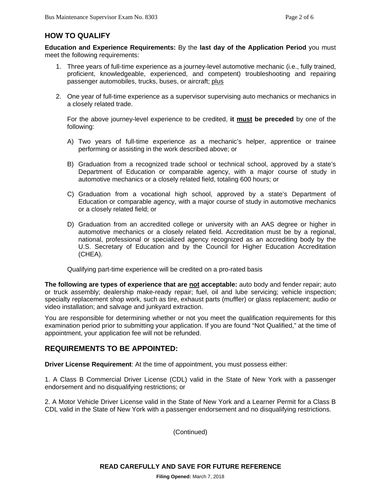## **HOW TO QUALIFY**

**Education and Experience Requirements:** By the **last day of the Application Period** you must meet the following requirements:

- 1. Three years of full-time experience as a journey-level automotive mechanic (i.e., fully trained, proficient, knowledgeable, experienced, and competent) troubleshooting and repairing passenger automobiles, trucks, buses, or aircraft; plus
- 2. One year of full-time experience as a supervisor supervising auto mechanics or mechanics in a closely related trade.

For the above journey-level experience to be credited, **it must be preceded** by one of the following:

- A) Two years of full-time experience as a mechanic's helper, apprentice or trainee performing or assisting in the work described above; or
- B) Graduation from a recognized trade school or technical school, approved by a state's Department of Education or comparable agency, with a major course of study in automotive mechanics or a closely related field, totaling 600 hours; or
- C) Graduation from a vocational high school, approved by a state's Department of Education or comparable agency, with a major course of study in automotive mechanics or a closely related field; or
- D) Graduation from an accredited college or university with an AAS degree or higher in automotive mechanics or a closely related field. Accreditation must be by a regional, national, professional or specialized agency recognized as an accrediting body by the U.S. Secretary of Education and by the Council for Higher Education Accreditation (CHEA).

Qualifying part-time experience will be credited on a pro-rated basis

**The following are types of experience that are not acceptable:** auto body and fender repair; auto or truck assembly; dealership make-ready repair; fuel, oil and lube servicing; vehicle inspection; specialty replacement shop work, such as tire, exhaust parts (muffler) or glass replacement; audio or video installation; and salvage and junkyard extraction.

You are responsible for determining whether or not you meet the qualification requirements for this examination period prior to submitting your application. If you are found "Not Qualified," at the time of appointment, your application fee will not be refunded.

### **REQUIREMENTS TO BE APPOINTED:**

**Driver License Requirement**: At the time of appointment, you must possess either:

1. A Class B Commercial Driver License (CDL) valid in the State of New York with a passenger endorsement and no disqualifying restrictions; or

2. A Motor Vehicle Driver License valid in the State of New York and a Learner Permit for a Class B CDL valid in the State of New York with a passenger endorsement and no disqualifying restrictions.

(Continued)

**READ CAREFULLY AND SAVE FOR FUTURE REFERENCE**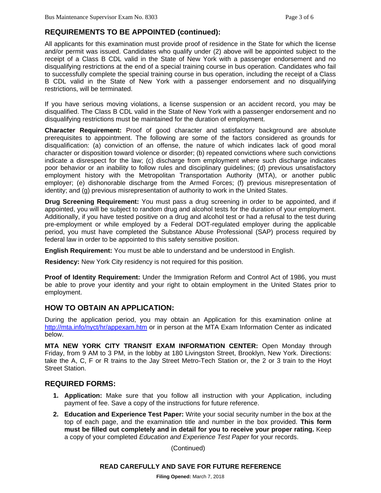## **REQUIREMENTS TO BE APPOINTED (continued):**

All applicants for this examination must provide proof of residence in the State for which the license and/or permit was issued. Candidates who qualify under (2) above will be appointed subject to the receipt of a Class B CDL valid in the State of New York with a passenger endorsement and no disqualifying restrictions at the end of a special training course in bus operation. Candidates who fail to successfully complete the special training course in bus operation, including the receipt of a Class B CDL valid in the State of New York with a passenger endorsement and no disqualifying restrictions, will be terminated.

If you have serious moving violations, a license suspension or an accident record, you may be disqualified. The Class B CDL valid in the State of New York with a passenger endorsement and no disqualifying restrictions must be maintained for the duration of employment.

**Character Requirement:** Proof of good character and satisfactory background are absolute prerequisites to appointment. The following are some of the factors considered as grounds for disqualification: (a) conviction of an offense, the nature of which indicates lack of good moral character or disposition toward violence or disorder; (b) repeated convictions where such convictions indicate a disrespect for the law; (c) discharge from employment where such discharge indicates poor behavior or an inability to follow rules and disciplinary guidelines; (d) previous unsatisfactory employment history with the Metropolitan Transportation Authority (MTA), or another public employer; (e) dishonorable discharge from the Armed Forces; (f) previous misrepresentation of identity; and (g) previous misrepresentation of authority to work in the United States.

**Drug Screening Requirement:** You must pass a drug screening in order to be appointed, and if appointed, you will be subject to random drug and alcohol tests for the duration of your employment. Additionally, if you have tested positive on a drug and alcohol test or had a refusal to the test during pre-employment or while employed by a Federal DOT-regulated employer during the applicable period, you must have completed the Substance Abuse Professional (SAP) process required by federal law in order to be appointed to this safety sensitive position.

**English Requirement:** You must be able to understand and be understood in English.

**Residency:** New York City residency is not required for this position.

**Proof of Identity Requirement:** Under the Immigration Reform and Control Act of 1986, you must be able to prove your identity and your right to obtain employment in the United States prior to employment.

## **HOW TO OBTAIN AN APPLICATION:**

During the application period, you may obtain an Application for this examination online at http://mta.info/nyct/hr/appexam.htm or in person at the MTA Exam Information Center as indicated below.

**MTA NEW YORK CITY TRANSIT EXAM INFORMATION CENTER:** Open Monday through Friday, from 9 AM to 3 PM, in the lobby at 180 Livingston Street, Brooklyn, New York. Directions: take the A, C, F or R trains to the Jay Street Metro-Tech Station or, the 2 or 3 train to the Hoyt Street Station.

### **REQUIRED FORMS:**

- **1. Application:** Make sure that you follow all instruction with your Application, including payment of fee. Save a copy of the instructions for future reference.
- **2. Education and Experience Test Paper:** Write your social security number in the box at the top of each page, and the examination title and number in the box provided. **This form must be filled out completely and in detail for you to receive your proper rating.** Keep a copy of your completed *Education and Experience Test Paper* for your records.

(Continued)

#### **READ CAREFULLY AND SAVE FOR FUTURE REFERENCE**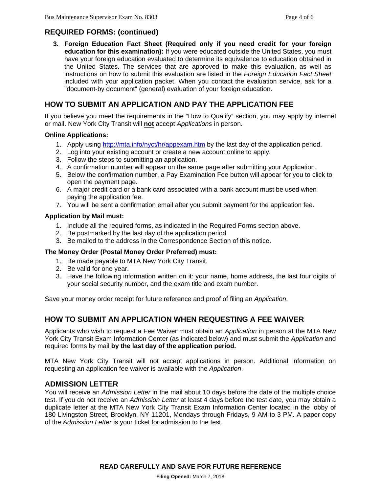## **REQUIRED FORMS: (continued)**

**3. Foreign Education Fact Sheet (Required only if you need credit for your foreign education for this examination):** If you were educated outside the United States, you must have your foreign education evaluated to determine its equivalence to education obtained in the United States. The services that are approved to make this evaluation, as well as instructions on how to submit this evaluation are listed in the *Foreign Education Fact Sheet* included with your application packet. When you contact the evaluation service, ask for a "document-by document" (general) evaluation of your foreign education.

## **HOW TO SUBMIT AN APPLICATION AND PAY THE APPLICATION FEE**

If you believe you meet the requirements in the "How to Qualify" section, you may apply by internet or mail. New York City Transit will **not** accept *Applications* in person.

#### **Online Applications:**

- 1. Apply using http://mta.info/nyct/hr/appexam.htm by the last day of the application period.
- 2. Log into your existing account or create a new account online to apply.
- 3. Follow the steps to submitting an application.
- 4. A confirmation number will appear on the same page after submitting your Application.
- 5. Below the confirmation number, a Pay Examination Fee button will appear for you to click to open the payment page.
- 6. A major credit card or a bank card associated with a bank account must be used when paying the application fee.
- 7. You will be sent a confirmation email after you submit payment for the application fee.

#### **Application by Mail must:**

- 1. Include all the required forms, as indicated in the Required Forms section above.
- 2. Be postmarked by the last day of the application period.
- 3. Be mailed to the address in the Correspondence Section of this notice.

### **The Money Order (Postal Money Order Preferred) must:**

- 1. Be made payable to MTA New York City Transit.
- 2. Be valid for one year.
- 3. Have the following information written on it: your name, home address, the last four digits of your social security number, and the exam title and exam number.

Save your money order receipt for future reference and proof of filing an *Application*.

## **HOW TO SUBMIT AN APPLICATION WHEN REQUESTING A FEE WAIVER**

Applicants who wish to request a Fee Waiver must obtain an *Application* in person at the MTA New York City Transit Exam Information Center (as indicated below) and must submit the *Application* and required forms by mail **by the last day of the application period.** 

MTA New York City Transit will not accept applications in person. Additional information on requesting an application fee waiver is available with the *Application*.

## **ADMISSION LETTER**

You will receive an *Admission Letter* in the mail about 10 days before the date of the multiple choice test. If you do not receive an *Admission Letter* at least 4 days before the test date, you may obtain a duplicate letter at the MTA New York City Transit Exam Information Center located in the lobby of 180 Livingston Street, Brooklyn, NY 11201, Mondays through Fridays, 9 AM to 3 PM. A paper copy of the *Admission Letter* is your ticket for admission to the test.

**READ CAREFULLY AND SAVE FOR FUTURE REFERENCE**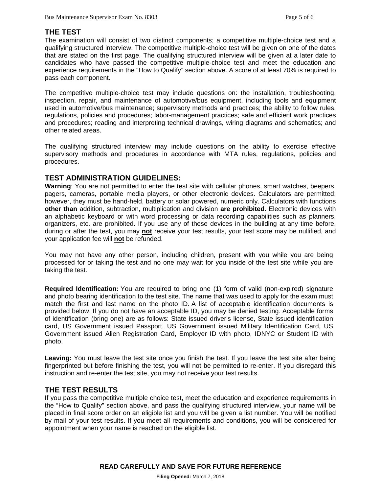## **THE TEST**

The examination will consist of two distinct components; a competitive multiple-choice test and a qualifying structured interview. The competitive multiple-choice test will be given on one of the dates that are stated on the first page. The qualifying structured interview will be given at a later date to candidates who have passed the competitive multiple-choice test and meet the education and experience requirements in the "How to Qualify" section above. A score of at least 70% is required to pass each component.

The competitive multiple-choice test may include questions on: the installation, troubleshooting, inspection, repair, and maintenance of automotive/bus equipment, including tools and equipment used in automotive/bus maintenance; supervisory methods and practices; the ability to follow rules, regulations, policies and procedures; labor-management practices; safe and efficient work practices and procedures; reading and interpreting technical drawings, wiring diagrams and schematics; and other related areas.

The qualifying structured interview may include questions on the ability to exercise effective supervisory methods and procedures in accordance with MTA rules, regulations, policies and procedures.

## **TEST ADMINISTRATION GUIDELINES:**

**Warning**: You are not permitted to enter the test site with cellular phones, smart watches, beepers, pagers, cameras, portable media players, or other electronic devices. Calculators are permitted; however, they must be hand-held, battery or solar powered, numeric only. Calculators with functions **other than** addition, subtraction, multiplication and division **are prohibited**. Electronic devices with an alphabetic keyboard or with word processing or data recording capabilities such as planners, organizers, etc. are prohibited. If you use any of these devices in the building at any time before, during or after the test, you may **not** receive your test results, your test score may be nullified, and your application fee will **not** be refunded.

You may not have any other person, including children, present with you while you are being processed for or taking the test and no one may wait for you inside of the test site while you are taking the test.

**Required Identification:** You are required to bring one (1) form of valid (non-expired) signature and photo bearing identification to the test site. The name that was used to apply for the exam must match the first and last name on the photo ID. A list of acceptable identification documents is provided below. If you do not have an acceptable ID, you may be denied testing. Acceptable forms of identification (bring one) are as follows: State issued driver's license, State issued identification card, US Government issued Passport, US Government issued Military Identification Card, US Government issued Alien Registration Card, Employer ID with photo, IDNYC or Student ID with photo.

**Leaving:** You must leave the test site once you finish the test. If you leave the test site after being fingerprinted but before finishing the test, you will not be permitted to re-enter. If you disregard this instruction and re-enter the test site, you may not receive your test results.

### **THE TEST RESULTS**

If you pass the competitive multiple choice test, meet the education and experience requirements in the "How to Qualify" section above, and pass the qualifying structured interview, your name will be placed in final score order on an eligible list and you will be given a list number. You will be notified by mail of your test results. If you meet all requirements and conditions, you will be considered for appointment when your name is reached on the eligible list.